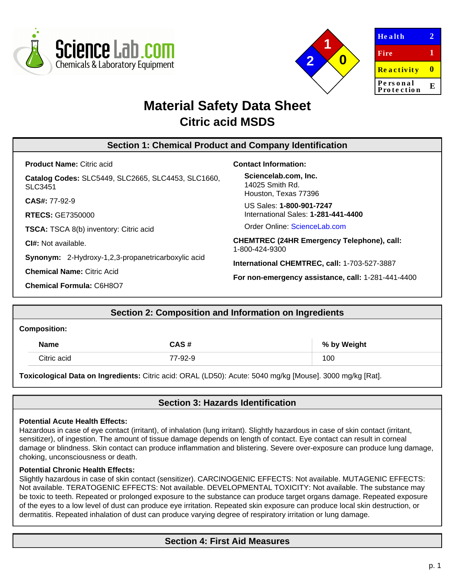



| <b>Health</b>          |   |
|------------------------|---|
| Fire                   | 1 |
| Reactivity             |   |
| Personal<br>Protection | E |

# **Material Safety Data Sheet Citric acid MSDS**

| <b>Section 1: Chemical Product and Company Identification</b> |                                                                                                    |  |  |
|---------------------------------------------------------------|----------------------------------------------------------------------------------------------------|--|--|
| <b>Product Name: Citric acid</b>                              | <b>Contact Information:</b>                                                                        |  |  |
| Catalog Codes: SLC5449, SLC2665, SLC4453, SLC1660,<br>SLC3451 | Sciencelab.com, Inc.<br>14025 Smith Rd.<br>Houston, Texas 77396                                    |  |  |
| $CAS#: 77-92-9$<br><b>RTECS: GE7350000</b>                    | US Sales: 1-800-901-7247<br>International Sales: 1-281-441-4400                                    |  |  |
| <b>TSCA:</b> TSCA 8(b) inventory: Citric acid                 | Order Online: ScienceLab.com                                                                       |  |  |
| <b>CI#:</b> Not available.                                    | <b>CHEMTREC (24HR Emergency Telephone), call:</b><br>1-800-424-9300                                |  |  |
| <b>Synonym:</b> 2-Hydroxy-1,2,3-propanetricarboxylic acid     | International CHEMTREC, call: 1-703-527-3887<br>For non-emergency assistance, call: 1-281-441-4400 |  |  |
| <b>Chemical Name: Citric Acid</b>                             |                                                                                                    |  |  |
| <b>Chemical Formula: C6H8O7</b>                               |                                                                                                    |  |  |

# **Section 2: Composition and Information on Ingredients**

#### **Composition:**

| <b>Name</b> | CAS #   | % by Weight |
|-------------|---------|-------------|
| Citric acid | 77-92-9 | 100         |

**Toxicological Data on Ingredients:** Citric acid: ORAL (LD50): Acute: 5040 mg/kg [Mouse]. 3000 mg/kg [Rat].

# **Section 3: Hazards Identification**

#### **Potential Acute Health Effects:**

Hazardous in case of eye contact (irritant), of inhalation (lung irritant). Slightly hazardous in case of skin contact (irritant, sensitizer), of ingestion. The amount of tissue damage depends on length of contact. Eye contact can result in corneal damage or blindness. Skin contact can produce inflammation and blistering. Severe over-exposure can produce lung damage, choking, unconsciousness or death.

#### **Potential Chronic Health Effects:**

Slightly hazardous in case of skin contact (sensitizer). CARCINOGENIC EFFECTS: Not available. MUTAGENIC EFFECTS: Not available. TERATOGENIC EFFECTS: Not available. DEVELOPMENTAL TOXICITY: Not available. The substance may be toxic to teeth. Repeated or prolonged exposure to the substance can produce target organs damage. Repeated exposure of the eyes to a low level of dust can produce eye irritation. Repeated skin exposure can produce local skin destruction, or dermatitis. Repeated inhalation of dust can produce varying degree of respiratory irritation or lung damage.

# **Section 4: First Aid Measures**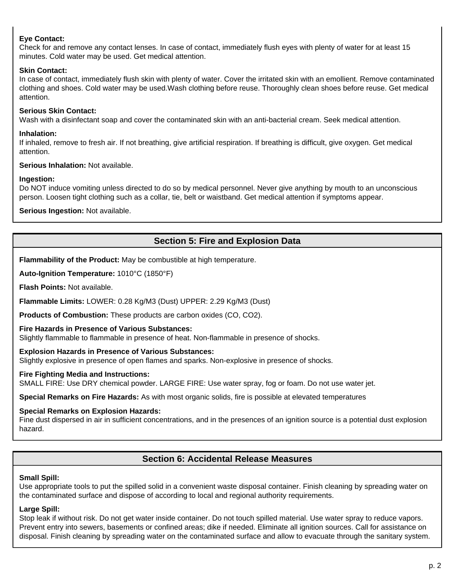### **Eye Contact:**

Check for and remove any contact lenses. In case of contact, immediately flush eyes with plenty of water for at least 15 minutes. Cold water may be used. Get medical attention.

#### **Skin Contact:**

In case of contact, immediately flush skin with plenty of water. Cover the irritated skin with an emollient. Remove contaminated clothing and shoes. Cold water may be used.Wash clothing before reuse. Thoroughly clean shoes before reuse. Get medical attention.

### **Serious Skin Contact:**

Wash with a disinfectant soap and cover the contaminated skin with an anti-bacterial cream. Seek medical attention.

#### **Inhalation:**

If inhaled, remove to fresh air. If not breathing, give artificial respiration. If breathing is difficult, give oxygen. Get medical attention.

#### **Serious Inhalation:** Not available.

#### **Ingestion:**

Do NOT induce vomiting unless directed to do so by medical personnel. Never give anything by mouth to an unconscious person. Loosen tight clothing such as a collar, tie, belt or waistband. Get medical attention if symptoms appear.

**Serious Ingestion:** Not available.

# **Section 5: Fire and Explosion Data**

**Flammability of the Product:** May be combustible at high temperature.

**Auto-Ignition Temperature:** 1010°C (1850°F)

**Flash Points:** Not available.

**Flammable Limits:** LOWER: 0.28 Kg/M3 (Dust) UPPER: 2.29 Kg/M3 (Dust)

**Products of Combustion:** These products are carbon oxides (CO, CO2).

#### **Fire Hazards in Presence of Various Substances:**

Slightly flammable to flammable in presence of heat. Non-flammable in presence of shocks.

#### **Explosion Hazards in Presence of Various Substances:**

Slightly explosive in presence of open flames and sparks. Non-explosive in presence of shocks.

#### **Fire Fighting Media and Instructions:**

SMALL FIRE: Use DRY chemical powder. LARGE FIRE: Use water spray, fog or foam. Do not use water jet.

**Special Remarks on Fire Hazards:** As with most organic solids, fire is possible at elevated temperatures

#### **Special Remarks on Explosion Hazards:**

Fine dust dispersed in air in sufficient concentrations, and in the presences of an ignition source is a potential dust explosion hazard.

# **Section 6: Accidental Release Measures**

#### **Small Spill:**

Use appropriate tools to put the spilled solid in a convenient waste disposal container. Finish cleaning by spreading water on the contaminated surface and dispose of according to local and regional authority requirements.

#### **Large Spill:**

Stop leak if without risk. Do not get water inside container. Do not touch spilled material. Use water spray to reduce vapors. Prevent entry into sewers, basements or confined areas; dike if needed. Eliminate all ignition sources. Call for assistance on disposal. Finish cleaning by spreading water on the contaminated surface and allow to evacuate through the sanitary system.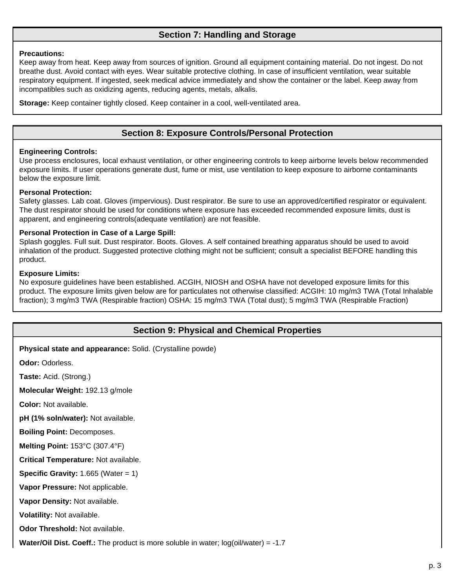# **Section 7: Handling and Storage**

#### **Precautions:**

Keep away from heat. Keep away from sources of ignition. Ground all equipment containing material. Do not ingest. Do not breathe dust. Avoid contact with eyes. Wear suitable protective clothing. In case of insufficient ventilation, wear suitable respiratory equipment. If ingested, seek medical advice immediately and show the container or the label. Keep away from incompatibles such as oxidizing agents, reducing agents, metals, alkalis.

**Storage:** Keep container tightly closed. Keep container in a cool, well-ventilated area.

# **Section 8: Exposure Controls/Personal Protection**

#### **Engineering Controls:**

Use process enclosures, local exhaust ventilation, or other engineering controls to keep airborne levels below recommended exposure limits. If user operations generate dust, fume or mist, use ventilation to keep exposure to airborne contaminants below the exposure limit.

#### **Personal Protection:**

Safety glasses. Lab coat. Gloves (impervious). Dust respirator. Be sure to use an approved/certified respirator or equivalent. The dust respirator should be used for conditions where exposure has exceeded recommended exposure limits, dust is apparent, and engineering controls(adequate ventilation) are not feasible.

#### **Personal Protection in Case of a Large Spill:**

Splash goggles. Full suit. Dust respirator. Boots. Gloves. A self contained breathing apparatus should be used to avoid inhalation of the product. Suggested protective clothing might not be sufficient; consult a specialist BEFORE handling this product.

#### **Exposure Limits:**

No exposure guidelines have been established. ACGIH, NIOSH and OSHA have not developed exposure limits for this product. The exposure limits given below are for particulates not otherwise classified: ACGIH: 10 mg/m3 TWA (Total Inhalable fraction); 3 mg/m3 TWA (Respirable fraction) OSHA: 15 mg/m3 TWA (Total dust); 5 mg/m3 TWA (Respirable Fraction)

# **Section 9: Physical and Chemical Properties**

**Physical state and appearance:** Solid. (Crystalline powde)

**Odor:** Odorless.

**Taste:** Acid. (Strong.)

**Molecular Weight:** 192.13 g/mole

**Color:** Not available.

**pH (1% soln/water):** Not available.

**Boiling Point:** Decomposes.

**Melting Point:** 153°C (307.4°F)

**Critical Temperature:** Not available.

**Specific Gravity:** 1.665 (Water = 1)

**Vapor Pressure:** Not applicable.

**Vapor Density:** Not available.

**Volatility:** Not available.

**Odor Threshold:** Not available.

**Water/Oil Dist. Coeff.:** The product is more soluble in water; log(oil/water) = -1.7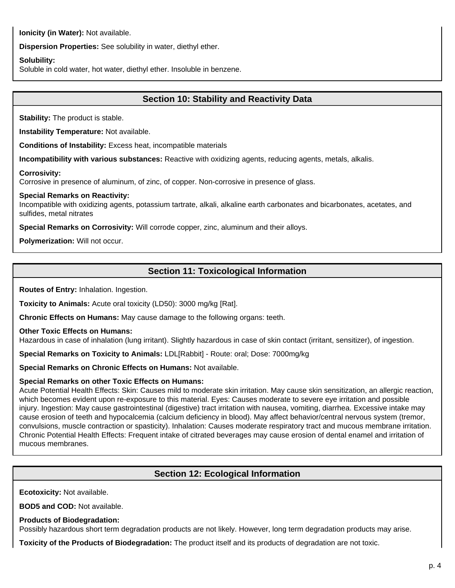**Ionicity (in Water):** Not available.

**Dispersion Properties:** See solubility in water, diethyl ether.

#### **Solubility:**

Soluble in cold water, hot water, diethyl ether. Insoluble in benzene.

# **Section 10: Stability and Reactivity Data**

**Stability:** The product is stable.

**Instability Temperature:** Not available.

**Conditions of Instability:** Excess heat, incompatible materials

**Incompatibility with various substances:** Reactive with oxidizing agents, reducing agents, metals, alkalis.

#### **Corrosivity:**

Corrosive in presence of aluminum, of zinc, of copper. Non-corrosive in presence of glass.

#### **Special Remarks on Reactivity:**

Incompatible with oxidizing agents, potassium tartrate, alkali, alkaline earth carbonates and bicarbonates, acetates, and sulfides, metal nitrates

**Special Remarks on Corrosivity:** Will corrode copper, zinc, aluminum and their alloys.

**Polymerization:** Will not occur.

# **Section 11: Toxicological Information**

**Routes of Entry:** Inhalation. Ingestion.

**Toxicity to Animals:** Acute oral toxicity (LD50): 3000 mg/kg [Rat].

**Chronic Effects on Humans:** May cause damage to the following organs: teeth.

#### **Other Toxic Effects on Humans:**

Hazardous in case of inhalation (lung irritant). Slightly hazardous in case of skin contact (irritant, sensitizer), of ingestion.

**Special Remarks on Toxicity to Animals:** LDL[Rabbit] - Route: oral; Dose: 7000mg/kg

**Special Remarks on Chronic Effects on Humans:** Not available.

#### **Special Remarks on other Toxic Effects on Humans:**

Acute Potential Health Effects: Skin: Causes mild to moderate skin irritation. May cause skin sensitization, an allergic reaction, which becomes evident upon re-exposure to this material. Eyes: Causes moderate to severe eye irritation and possible injury. Ingestion: May cause gastrointestinal (digestive) tract irritation with nausea, vomiting, diarrhea. Excessive intake may cause erosion of teeth and hypocalcemia (calcium deficiency in blood). May affect behavior/central nervous system (tremor, convulsions, muscle contraction or spasticity). Inhalation: Causes moderate respiratory tract and mucous membrane irritation. Chronic Potential Health Effects: Frequent intake of citrated beverages may cause erosion of dental enamel and irritation of mucous membranes.

# **Section 12: Ecological Information**

**Ecotoxicity:** Not available.

**BOD5 and COD:** Not available.

#### **Products of Biodegradation:**

Possibly hazardous short term degradation products are not likely. However, long term degradation products may arise.

**Toxicity of the Products of Biodegradation:** The product itself and its products of degradation are not toxic.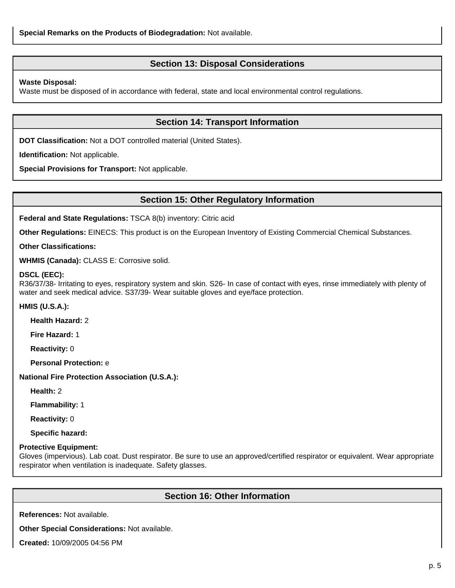# **Section 13: Disposal Considerations**

#### **Waste Disposal:**

Waste must be disposed of in accordance with federal, state and local environmental control regulations.

### **Section 14: Transport Information**

**DOT Classification:** Not a DOT controlled material (United States).

**Identification:** Not applicable.

**Special Provisions for Transport:** Not applicable.

### **Section 15: Other Regulatory Information**

**Federal and State Regulations:** TSCA 8(b) inventory: Citric acid

**Other Regulations:** EINECS: This product is on the European Inventory of Existing Commercial Chemical Substances.

**Other Classifications:**

**WHMIS (Canada):** CLASS E: Corrosive solid.

#### **DSCL (EEC):**

R36/37/38- Irritating to eyes, respiratory system and skin. S26- In case of contact with eyes, rinse immediately with plenty of water and seek medical advice. S37/39- Wear suitable gloves and eye/face protection.

#### **HMIS (U.S.A.):**

**Health Hazard:** 2

**Fire Hazard:** 1

**Reactivity:** 0

**Personal Protection:** e

**National Fire Protection Association (U.S.A.):**

**Health:** 2

**Flammability:** 1

**Reactivity:** 0

**Specific hazard:**

#### **Protective Equipment:**

Gloves (impervious). Lab coat. Dust respirator. Be sure to use an approved/certified respirator or equivalent. Wear appropriate respirator when ventilation is inadequate. Safety glasses.

### **Section 16: Other Information**

**References:** Not available.

**Other Special Considerations:** Not available.

**Created:** 10/09/2005 04:56 PM